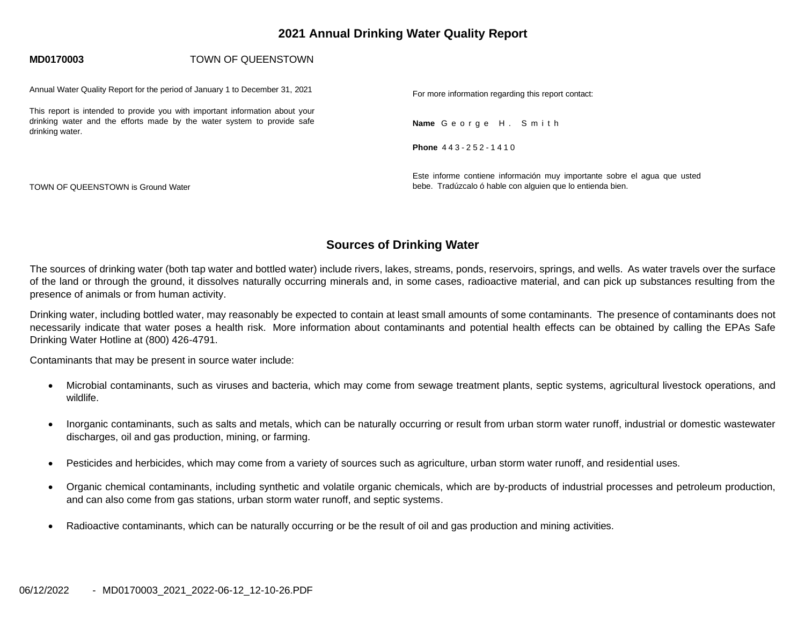# **2021 Annual Drinking Water Quality Report**

#### **MD0170003** TOWN OF QUEENSTOWN

Annual Water Quality Report for the period of January 1 to December 31, 2021

This report is intended to provide you with important information about your drinking water and the efforts made by the water system to provide safe drinking water.

TOWN OF QUEENSTOWN is Ground Water

For more information regarding this report contact:

**Name** G e o r g e H . S m i t h

**Phone** 4 4 3 - 2 5 2 - 1 4 1 0

Este informe contiene información muy importante sobre el agua que usted bebe. Tradúzcalo ó hable con alguien que lo entienda bien.

# **Sources of Drinking Water**

The sources of drinking water (both tap water and bottled water) include rivers, lakes, streams, ponds, reservoirs, springs, and wells. As water travels over the surface of the land or through the ground, it dissolves naturally occurring minerals and, in some cases, radioactive material, and can pick up substances resulting from the presence of animals or from human activity.

Drinking water, including bottled water, may reasonably be expected to contain at least small amounts of some contaminants. The presence of contaminants does not necessarily indicate that water poses a health risk. More information about contaminants and potential health effects can be obtained by calling the EPAs Safe Drinking Water Hotline at (800) 426-4791.

Contaminants that may be present in source water include:

- Microbial contaminants, such as viruses and bacteria, which may come from sewage treatment plants, septic systems, agricultural livestock operations, and wildlife.
- Inorganic contaminants, such as salts and metals, which can be naturally occurring or result from urban storm water runoff, industrial or domestic wastewater discharges, oil and gas production, mining, or farming.
- Pesticides and herbicides, which may come from a variety of sources such as agriculture, urban storm water runoff, and residential uses.
- Organic chemical contaminants, including synthetic and volatile organic chemicals, which are by-products of industrial processes and petroleum production, and can also come from gas stations, urban storm water runoff, and septic systems.
- Radioactive contaminants, which can be naturally occurring or be the result of oil and gas production and mining activities.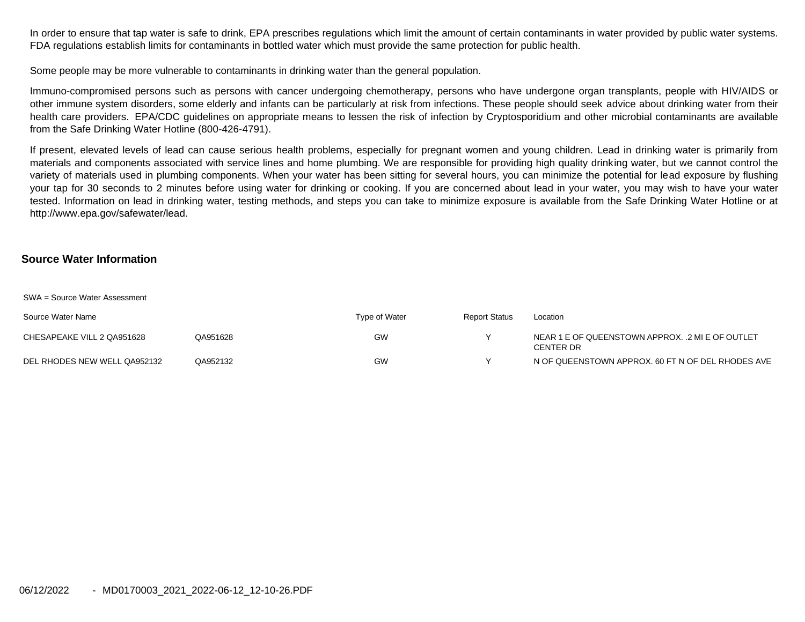In order to ensure that tap water is safe to drink, EPA prescribes regulations which limit the amount of certain contaminants in water provided by public water systems. FDA regulations establish limits for contaminants in bottled water which must provide the same protection for public health.

Some people may be more vulnerable to contaminants in drinking water than the general population.

Immuno-compromised persons such as persons with cancer undergoing chemotherapy, persons who have undergone organ transplants, people with HIV/AIDS or other immune system disorders, some elderly and infants can be particularly at risk from infections. These people should seek advice about drinking water from their health care providers. EPA/CDC guidelines on appropriate means to lessen the risk of infection by Cryptosporidium and other microbial contaminants are available from the Safe Drinking Water Hotline (800-426-4791).

If present, elevated levels of lead can cause serious health problems, especially for pregnant women and young children. Lead in drinking water is primarily from materials and components associated with service lines and home plumbing. We are responsible for providing high quality drinking water, but we cannot control the variety of materials used in plumbing components. When your water has been sitting for several hours, you can minimize the potential for lead exposure by flushing your tap for 30 seconds to 2 minutes before using water for drinking or cooking. If you are concerned about lead in your water, you may wish to have your water tested. Information on lead in drinking water, testing methods, and steps you can take to minimize exposure is available from the Safe Drinking Water Hotline or at [http://www.epa.gov/safewater/lead.](http://www.epa.gov/safewater/lead)

#### **Source Water Information**

SWA = Source Water Assessment

| Source Water Name            |          | Type of Water | <b>Report Status</b> | Location                                                      |
|------------------------------|----------|---------------|----------------------|---------------------------------------------------------------|
| CHESAPEAKE VILL 2 QA951628   | QA951628 | GW            |                      | NEAR 1 E OF QUEENSTOWN APPROX. .2 MI E OF OUTLET<br>CENTER DR |
| DEL RHODES NEW WELL QA952132 | QA952132 | GW            |                      | N OF QUEENSTOWN APPROX, 60 FT N OF DEL RHODES AVE             |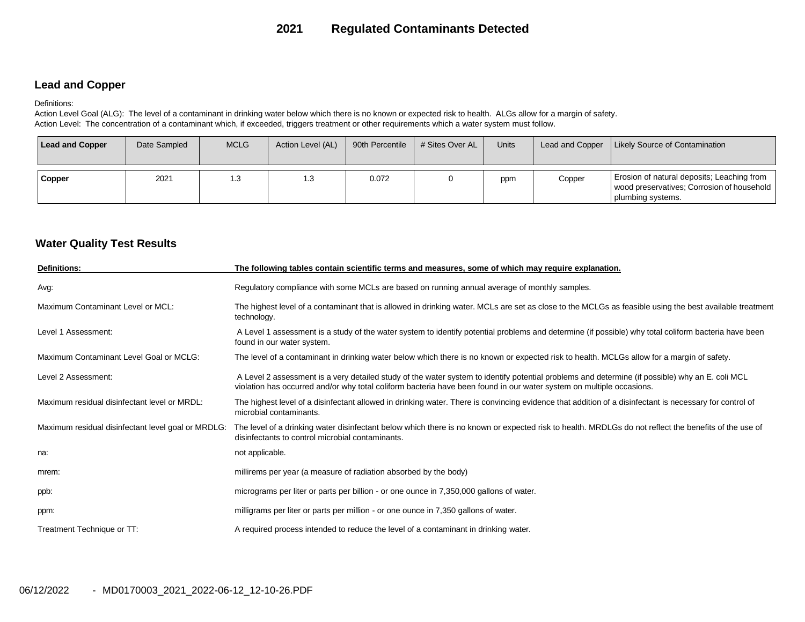# **2021 Regulated Contaminants Detected**

## **Lead and Copper**

#### Definitions:

Action Level Goal (ALG): The level of a contaminant in drinking water below which there is no known or expected risk to health. ALGs allow for a margin of safety. Action Level: The concentration of a contaminant which, if exceeded, triggers treatment or other requirements which a water system must follow.

| <b>Lead and Copper</b> | Date Sampled | <b>MCLG</b> | Action Level (AL) | 90th Percentile | # Sites Over AL | <b>Units</b> | Lead and Copper | <b>Likely Source of Contamination</b>                                                                           |
|------------------------|--------------|-------------|-------------------|-----------------|-----------------|--------------|-----------------|-----------------------------------------------------------------------------------------------------------------|
| Copper                 | 2021         | 1.3         | 1.3               | 0.072           |                 | ppm          | Copper          | Erosion of natural deposits; Leaching from<br>wood preservatives; Corrosion of household  <br>plumbing systems. |

## **Water Quality Test Results**

| <b>Definitions:</b>                                | The following tables contain scientific terms and measures, some of which may require explanation.                                                                                                                                                                      |
|----------------------------------------------------|-------------------------------------------------------------------------------------------------------------------------------------------------------------------------------------------------------------------------------------------------------------------------|
| Avg.                                               | Regulatory compliance with some MCLs are based on running annual average of monthly samples.                                                                                                                                                                            |
| Maximum Contaminant Level or MCL:                  | The highest level of a contaminant that is allowed in drinking water. MCLs are set as close to the MCLGs as feasible using the best available treatment<br>technology.                                                                                                  |
| Level 1 Assessment:                                | A Level 1 assessment is a study of the water system to identify potential problems and determine (if possible) why total coliform bacteria have been<br>found in our water system.                                                                                      |
| Maximum Contaminant Level Goal or MCLG:            | The level of a contaminant in drinking water below which there is no known or expected risk to health. MCLGs allow for a margin of safety.                                                                                                                              |
| Level 2 Assessment:                                | A Level 2 assessment is a very detailed study of the water system to identify potential problems and determine (if possible) why an E. coli MCL<br>violation has occurred and/or why total coliform bacteria have been found in our water system on multiple occasions. |
| Maximum residual disinfectant level or MRDL:       | The highest level of a disinfectant allowed in drinking water. There is convincing evidence that addition of a disinfectant is necessary for control of<br>microbial contaminants.                                                                                      |
| Maximum residual disinfectant level goal or MRDLG: | The level of a drinking water disinfectant below which there is no known or expected risk to health. MRDLGs do not reflect the benefits of the use of<br>disinfectants to control microbial contaminants.                                                               |
| na:                                                | not applicable.                                                                                                                                                                                                                                                         |
| mrem:                                              | millirems per year (a measure of radiation absorbed by the body)                                                                                                                                                                                                        |
| ppb:                                               | micrograms per liter or parts per billion - or one ounce in 7,350,000 gallons of water.                                                                                                                                                                                 |
| ppm:                                               | milligrams per liter or parts per million - or one ounce in 7,350 gallons of water.                                                                                                                                                                                     |
| Treatment Technique or TT:                         | A required process intended to reduce the level of a contaminant in drinking water.                                                                                                                                                                                     |